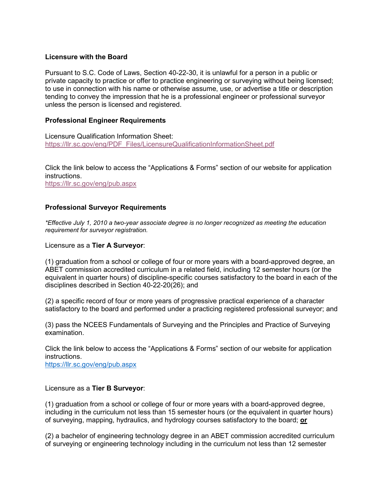## **Licensure with the Board**

Pursuant to S.C. Code of Laws, Section 40-22-30, it is unlawful for a person in a public or private capacity to practice or offer to practice engineering or surveying without being licensed; to use in connection with his name or otherwise assume, use, or advertise a title or description tending to convey the impression that he is a professional engineer or professional surveyor unless the person is licensed and registered.

# **Professional Engineer Requirements**

Licensure Qualification Information Sheet: [https://llr.sc.gov/eng/PDF\\_Files/LicensureQualificationInformationSheet.pdf](https://llr.sc.gov/eng/PDF_Files/LicensureQualificationInformationSheet.pdf)

Click the link below to access the "Applications & Forms" section of our website for application instructions. <https://llr.sc.gov/eng/pub.aspx>

## **Professional Surveyor Requirements**

*\*Effective July 1, 2010 a two-year associate degree is no longer recognized as meeting the education requirement for surveyor registration.*

Licensure as a **Tier A Surveyor**:

(1) graduation from a school or college of four or more years with a board-approved degree, an ABET commission accredited curriculum in a related field, including 12 semester hours (or the equivalent in quarter hours) of discipline-specific courses satisfactory to the board in each of the disciplines described in Section 40-22-20(26); and

(2) a specific record of four or more years of progressive practical experience of a character satisfactory to the board and performed under a practicing registered professional surveyor; and

(3) pass the NCEES Fundamentals of Surveying and the Principles and Practice of Surveying examination.

Click the link below to access the "Applications & Forms" section of our website for application instructions.

<https://llr.sc.gov/eng/pub.aspx>

### Licensure as a **Tier B Surveyor**:

(1) graduation from a school or college of four or more years with a board-approved degree, including in the curriculum not less than 15 semester hours (or the equivalent in quarter hours) of surveying, mapping, hydraulics, and hydrology courses satisfactory to the board; **or**

(2) a bachelor of engineering technology degree in an ABET commission accredited curriculum of surveying or engineering technology including in the curriculum not less than 12 semester